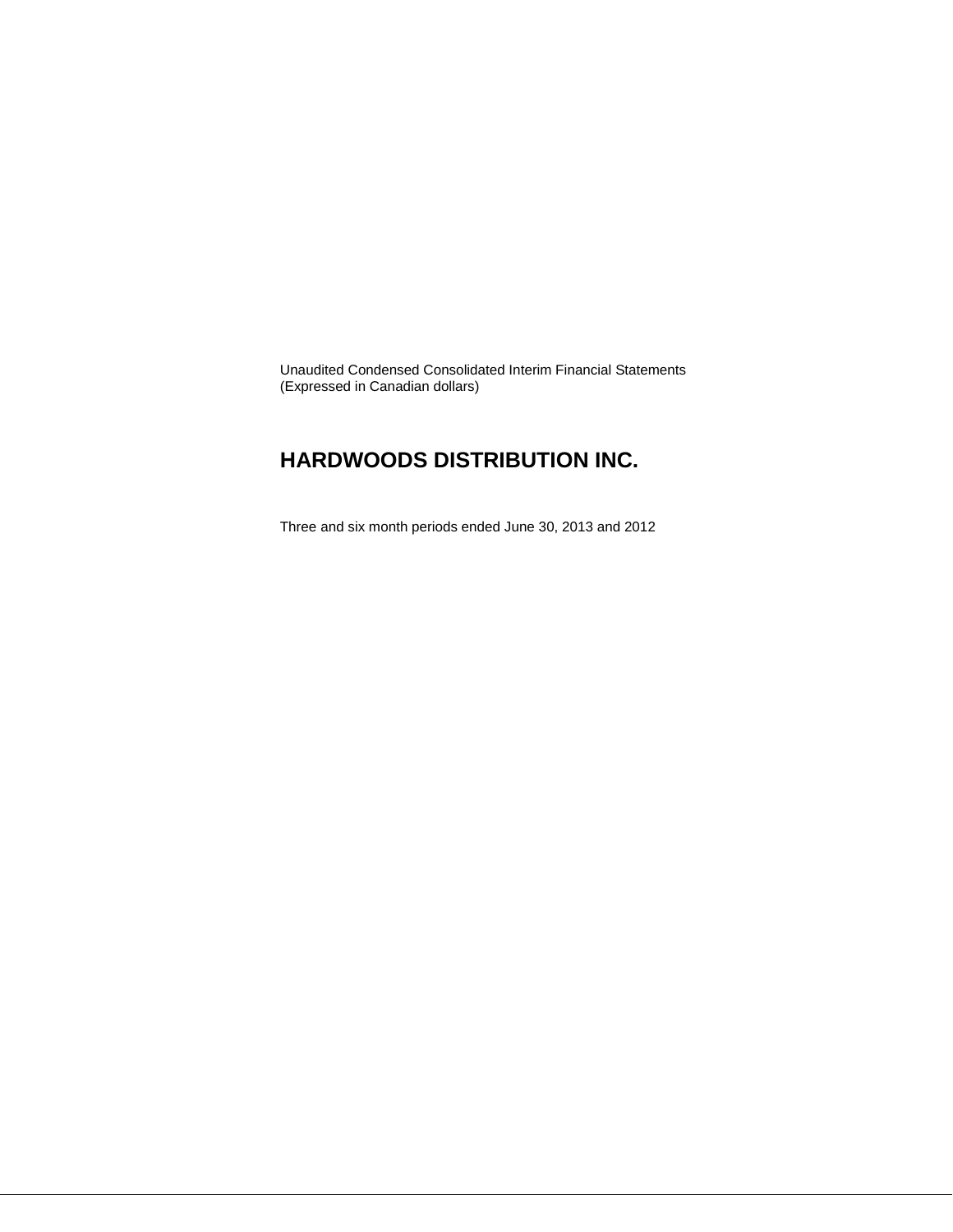Unaudited Condensed Consolidated Interim Financial Statements (Expressed in Canadian dollars)

# **HARDWOODS DISTRIBUTION INC.**

Three and six month periods ended June 30, 2013 and 2012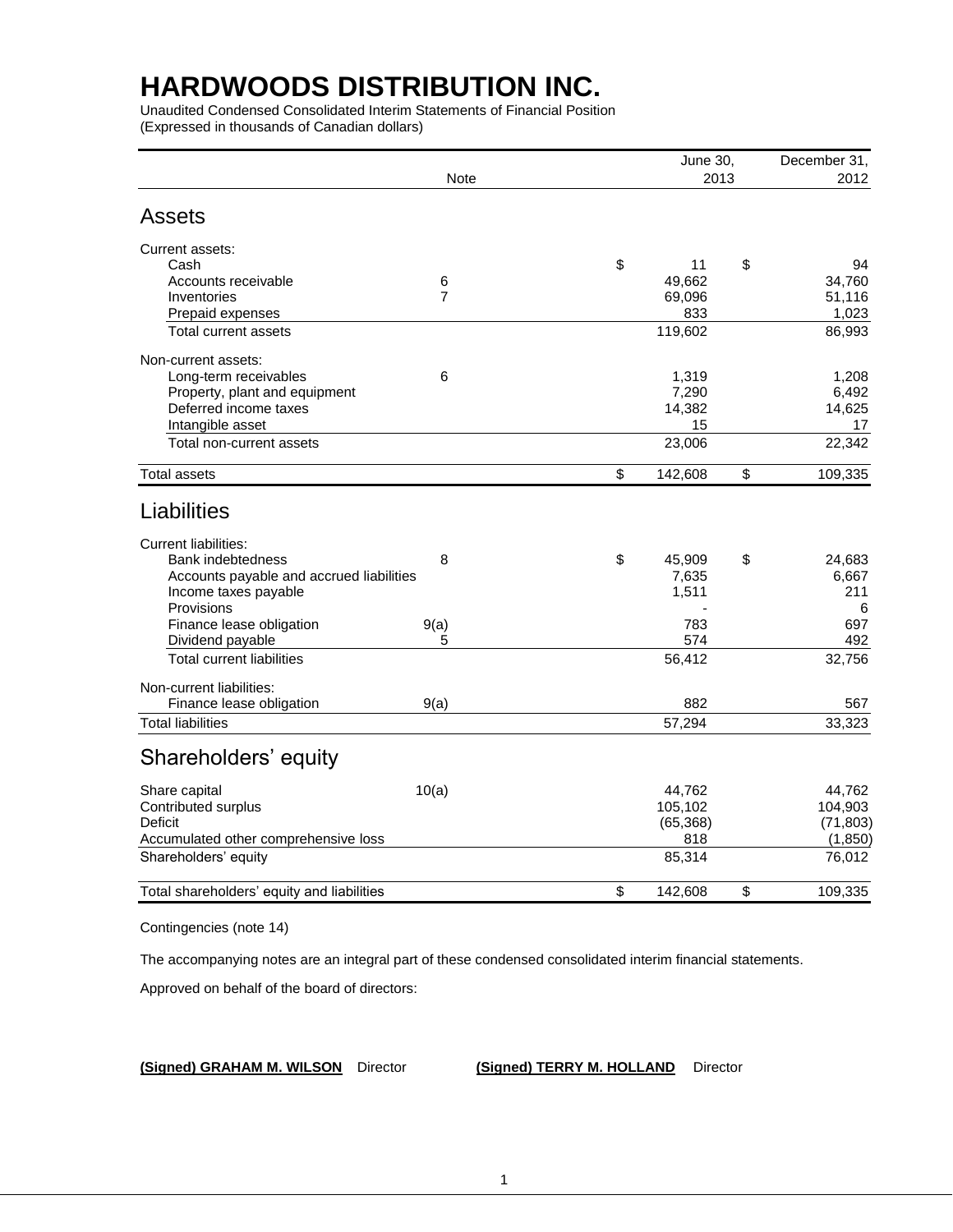Unaudited Condensed Consolidated Interim Statements of Financial Position (Expressed in thousands of Canadian dollars)

|                                            | June 30,       | December 31,<br>2012 |               |  |
|--------------------------------------------|----------------|----------------------|---------------|--|
|                                            | <b>Note</b>    | 2013                 |               |  |
| <b>Assets</b>                              |                |                      |               |  |
| Current assets:                            |                |                      |               |  |
| Cash                                       |                | \$<br>11             | \$<br>94      |  |
| Accounts receivable                        | 6              | 49,662               | 34,760        |  |
| Inventories                                | $\overline{7}$ | 69,096               | 51,116        |  |
| Prepaid expenses                           |                | 833                  | 1,023         |  |
| Total current assets                       |                | 119,602              | 86,993        |  |
| Non-current assets:                        |                |                      |               |  |
| Long-term receivables                      | 6              | 1,319                | 1,208         |  |
| Property, plant and equipment              |                | 7,290                | 6,492         |  |
| Deferred income taxes                      |                | 14,382               | 14,625        |  |
| Intangible asset                           |                | 15                   | 17            |  |
| Total non-current assets                   |                | 23,006               | 22,342        |  |
| <b>Total assets</b>                        |                | \$<br>142,608        | \$<br>109,335 |  |
| Liabilities                                |                |                      |               |  |
| <b>Current liabilities:</b>                |                |                      |               |  |
| Bank indebtedness                          | 8              | \$<br>45,909         | \$<br>24,683  |  |
| Accounts payable and accrued liabilities   |                | 7,635                | 6,667         |  |
| Income taxes payable                       |                | 1,511                | 211           |  |
| Provisions                                 |                |                      | 6             |  |
| Finance lease obligation                   | 9(a)           | 783                  | 697           |  |
| Dividend payable                           | 5              | 574                  | 492           |  |
| <b>Total current liabilities</b>           |                | 56,412               | 32,756        |  |
| Non-current liabilities:                   |                |                      |               |  |
| Finance lease obligation                   | 9(a)           | 882                  | 567           |  |
| <b>Total liabilities</b>                   |                | 57,294               | 33,323        |  |
| Shareholders' equity                       |                |                      |               |  |
| Share capital                              | 10(a)          | 44,762               | 44,762        |  |
| Contributed surplus                        |                | 105,102              | 104,903       |  |
| Deficit                                    |                | (65, 368)            | (71, 803)     |  |
| Accumulated other comprehensive loss       |                | 818                  | (1, 850)      |  |
| Shareholders' equity                       |                | 85,314               | 76,012        |  |
| Total shareholders' equity and liabilities |                | \$<br>142,608        | \$<br>109,335 |  |
|                                            |                |                      |               |  |

Contingencies (note 14)

The accompanying notes are an integral part of these condensed consolidated interim financial statements.

Approved on behalf of the board of directors:

**(Signed) GRAHAM M. WILSON** Director **(Signed) TERRY M. HOLLAND** Director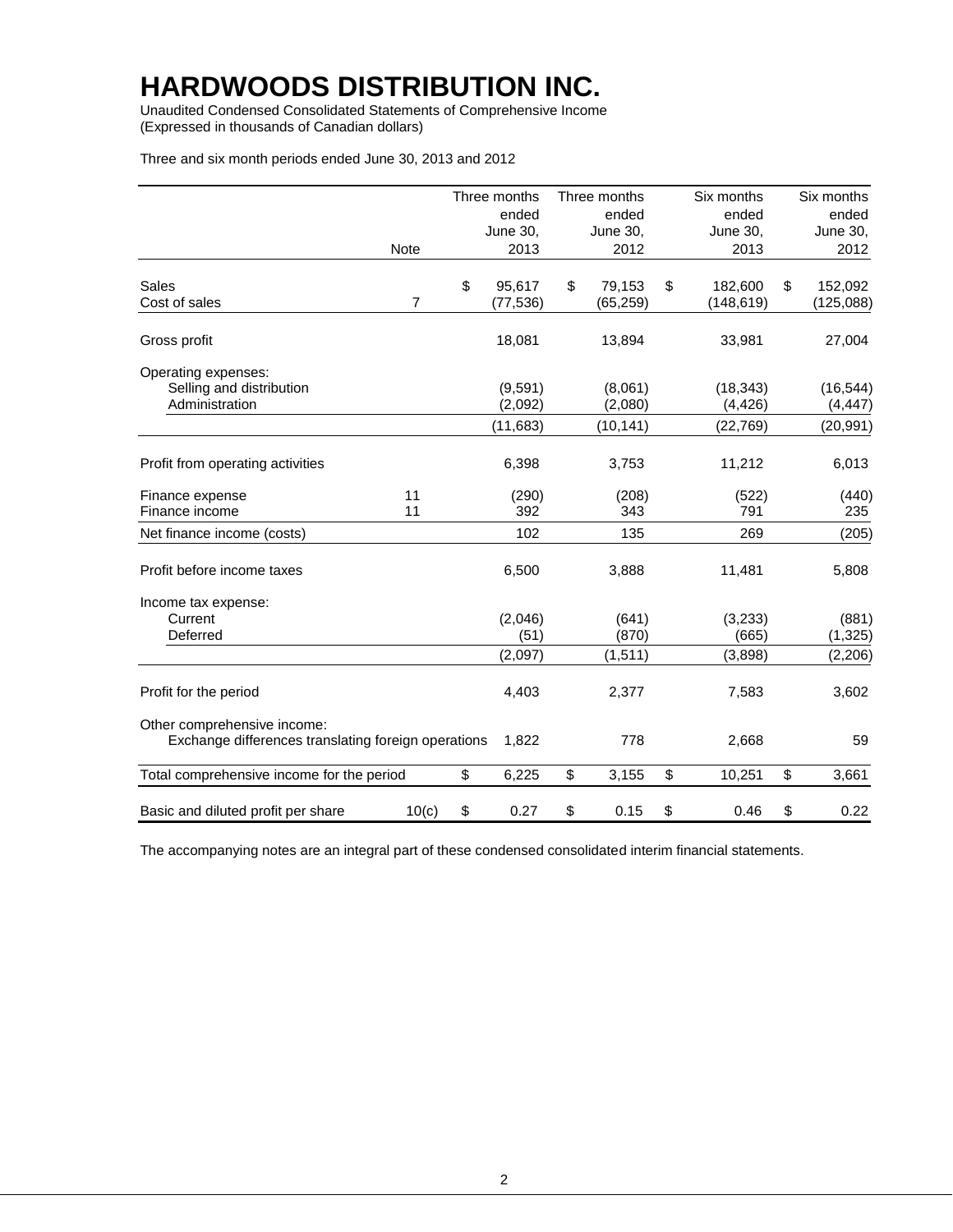Unaudited Condensed Consolidated Statements of Comprehensive Income (Expressed in thousands of Canadian dollars)

Three and six month periods ended June 30, 2013 and 2012

|                                                                                    |                | Three months    | Three months | Six months    | Six months      |
|------------------------------------------------------------------------------------|----------------|-----------------|--------------|---------------|-----------------|
|                                                                                    |                | ended           | ended        | ended         | ended           |
|                                                                                    |                | <b>June 30,</b> | June 30,     | June 30,      | <b>June 30,</b> |
|                                                                                    | <b>Note</b>    | 2013            | 2012         | 2013          | 2012            |
| Sales                                                                              |                | \$<br>95,617    | \$<br>79,153 | \$<br>182,600 | \$<br>152,092   |
| Cost of sales                                                                      | $\overline{7}$ | (77, 536)       | (65, 259)    | (148, 619)    | (125,088)       |
| Gross profit                                                                       |                | 18,081          | 13,894       | 33,981        | 27,004          |
| Operating expenses:<br>Selling and distribution                                    |                | (9,591)         | (8,061)      | (18, 343)     | (16, 544)       |
| Administration                                                                     |                | (2,092)         | (2,080)      | (4, 426)      | (4, 447)        |
|                                                                                    |                | (11, 683)       | (10, 141)    | (22, 769)     | (20, 991)       |
| Profit from operating activities                                                   |                | 6,398           | 3,753        | 11,212        | 6,013           |
| Finance expense                                                                    | 11             | (290)           | (208)        | (522)         | (440)           |
| Finance income                                                                     | 11             | 392             | 343          | 791           | 235             |
| Net finance income (costs)                                                         |                | 102             | 135          | 269           | (205)           |
| Profit before income taxes                                                         |                | 6,500           | 3,888        | 11,481        | 5,808           |
| Income tax expense:                                                                |                |                 |              |               |                 |
| Current                                                                            |                | (2,046)         | (641)        | (3,233)       | (881)           |
| Deferred                                                                           |                | (51)            | (870)        | (665)         | (1, 325)        |
|                                                                                    |                | (2,097)         | (1, 511)     | (3,898)       | (2, 206)        |
| Profit for the period                                                              |                | 4,403           | 2,377        | 7,583         | 3,602           |
| Other comprehensive income:<br>Exchange differences translating foreign operations |                | 1,822           | 778          | 2,668         | 59              |
| Total comprehensive income for the period                                          |                | \$<br>6,225     | \$<br>3,155  | \$<br>10,251  | \$<br>3,661     |
| Basic and diluted profit per share                                                 | 10(c)          | \$<br>0.27      | \$<br>0.15   | \$<br>0.46    | \$<br>0.22      |

The accompanying notes are an integral part of these condensed consolidated interim financial statements.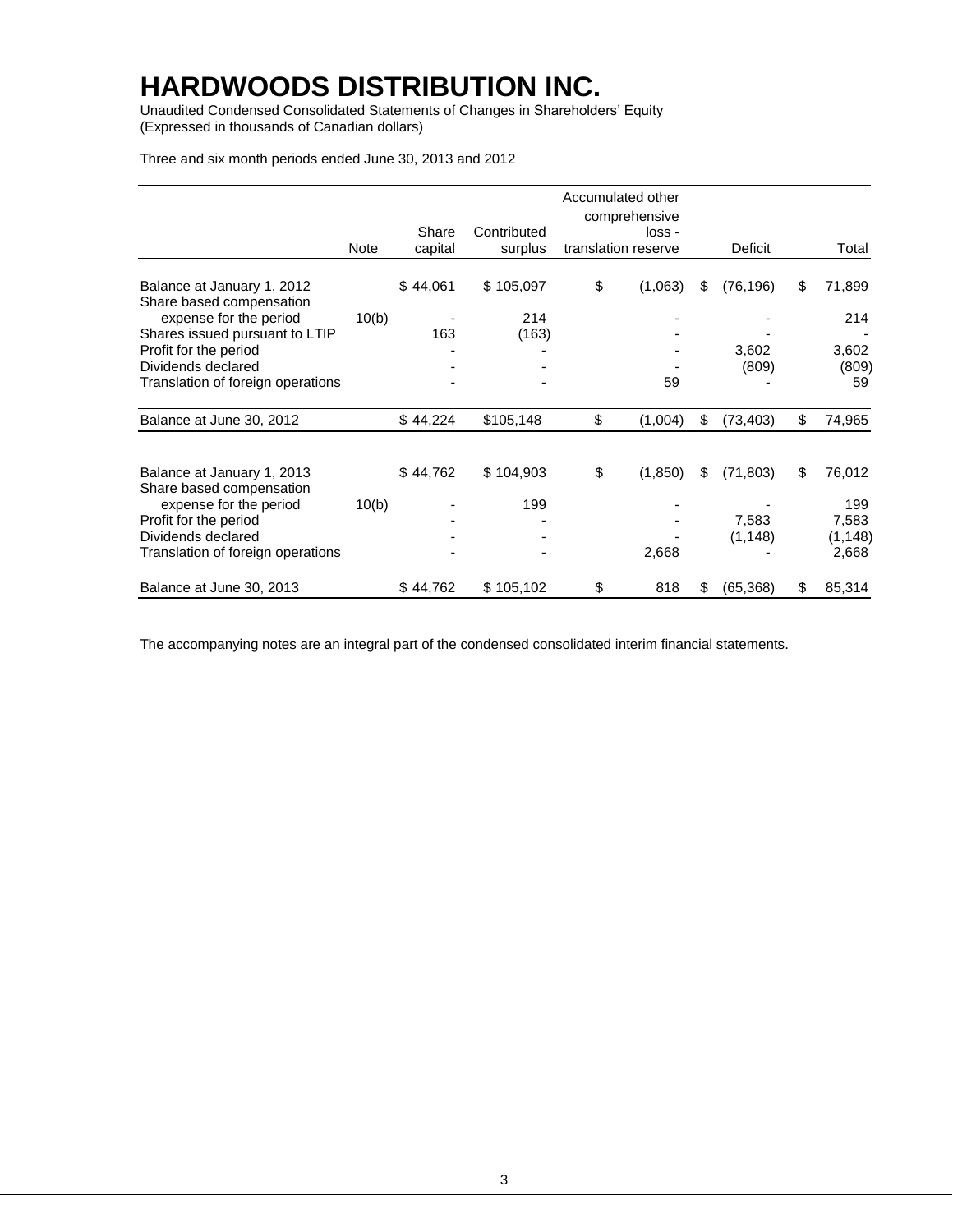Unaudited Condensed Consolidated Statements of Changes in Shareholders' Equity (Expressed in thousands of Canadian dollars)

Three and six month periods ended June 30, 2013 and 2012

|                                                               |       |                  |                        | Accumulated other<br>comprehensive |                   |                    |
|---------------------------------------------------------------|-------|------------------|------------------------|------------------------------------|-------------------|--------------------|
|                                                               | Note  | Share<br>capital | Contributed<br>surplus | loss -<br>translation reserve      | Deficit           | Total              |
| Balance at January 1, 2012<br>Share based compensation        |       | \$44,061         | \$105,097              | \$<br>(1,063)                      | \$<br>(76, 196)   | \$<br>71,899       |
| expense for the period<br>Shares issued pursuant to LTIP      | 10(b) | 163              | 214<br>(163)           |                                    |                   | 214                |
| Profit for the period<br>Dividends declared                   |       |                  |                        |                                    | 3,602<br>(809)    | 3,602<br>(809)     |
| Translation of foreign operations<br>Balance at June 30, 2012 |       | \$44,224         | \$105,148              | \$<br>59<br>(1,004)                | \$<br>(73, 403)   | \$<br>59<br>74,965 |
|                                                               |       |                  |                        |                                    |                   |                    |
| Balance at January 1, 2013<br>Share based compensation        |       | \$44,762         | \$104,903              | \$<br>(1,850)                      | \$<br>(71, 803)   | \$<br>76,012       |
| expense for the period<br>Profit for the period               | 10(b) |                  | 199                    |                                    |                   | 199                |
| Dividends declared                                            |       |                  |                        |                                    | 7,583<br>(1, 148) | 7,583<br>(1, 148)  |
| Translation of foreign operations                             |       |                  |                        | 2,668                              |                   | 2,668              |
| Balance at June 30, 2013                                      |       | \$44,762         | \$105,102              | \$<br>818                          | \$<br>(65, 368)   | \$<br>85,314       |

The accompanying notes are an integral part of the condensed consolidated interim financial statements.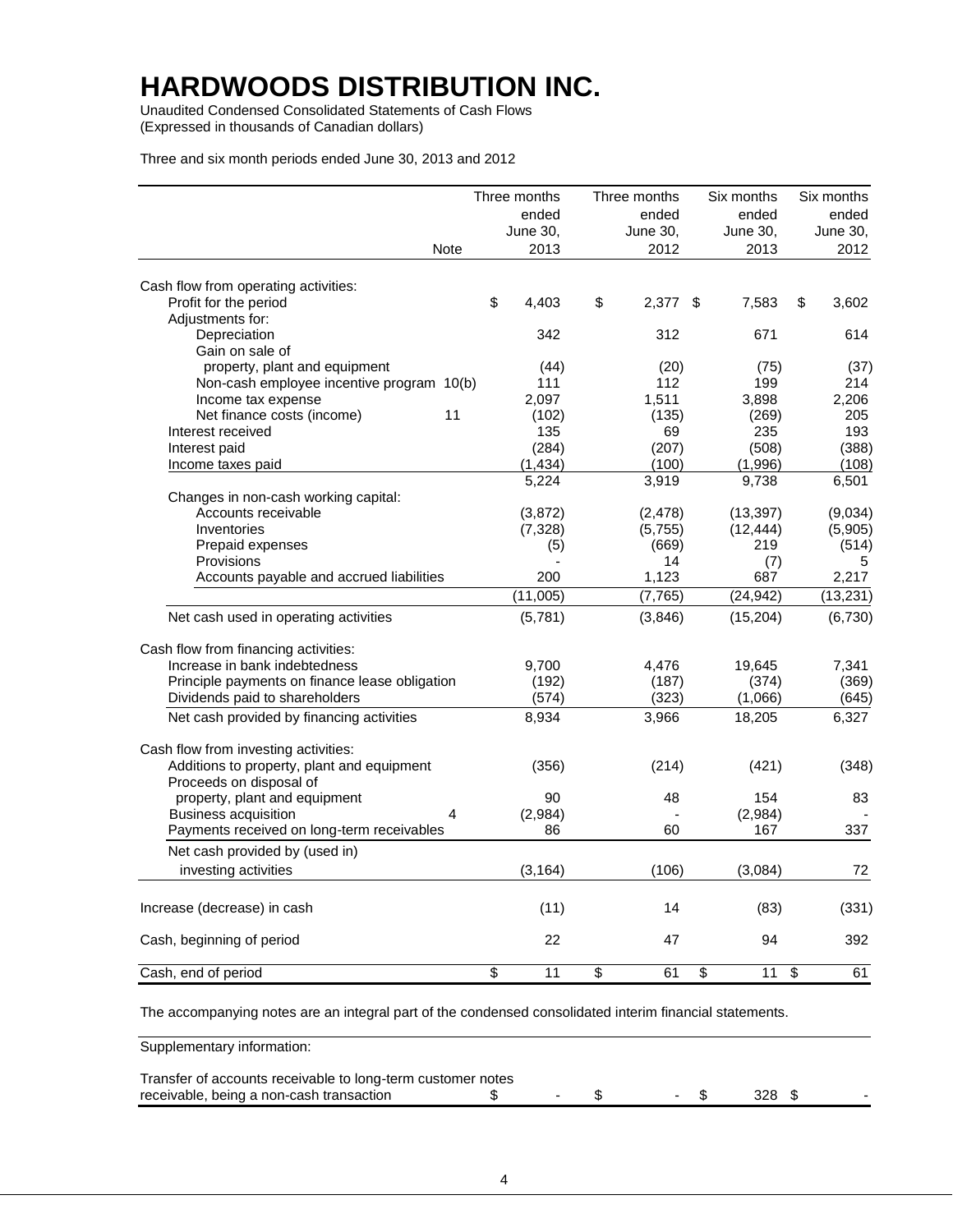Unaudited Condensed Consolidated Statements of Cash Flows (Expressed in thousands of Canadian dollars)

Three and six month periods ended June 30, 2013 and 2012

|                                                |                         | Three months | Three months |                         | Six months |                         | Six months |
|------------------------------------------------|-------------------------|--------------|--------------|-------------------------|------------|-------------------------|------------|
|                                                |                         | ended        | ended        |                         | ended      |                         | ended      |
|                                                |                         | June 30,     | June 30,     |                         | June 30,   |                         | June 30,   |
| Note                                           |                         | 2013         | 2012         |                         | 2013       |                         | 2012       |
| Cash flow from operating activities:           |                         |              |              |                         |            |                         |            |
| Profit for the period                          | \$                      | 4.403        | \$<br>2,377  | \$                      | 7,583      | \$                      | 3,602      |
| Adjustments for:                               |                         |              |              |                         |            |                         |            |
| Depreciation                                   |                         | 342          | 312          |                         | 671        |                         | 614        |
| Gain on sale of                                |                         |              |              |                         |            |                         |            |
| property, plant and equipment                  |                         | (44)         | (20)         |                         | (75)       |                         | (37)       |
| Non-cash employee incentive program 10(b)      |                         | 111          | 112          |                         | 199        |                         | 214        |
| Income tax expense                             |                         | 2,097        | 1,511        |                         | 3,898      |                         | 2,206      |
| 11<br>Net finance costs (income)               |                         | (102)        | (135)        |                         | (269)      |                         | 205        |
| Interest received                              |                         | 135          | 69           |                         | 235        |                         | 193        |
| Interest paid                                  |                         | (284)        | (207)        |                         | (508)      |                         | (388)      |
| Income taxes paid                              |                         | (1, 434)     | (100)        |                         | (1,996)    |                         | (108)      |
|                                                |                         | 5,224        | 3,919        |                         | 9,738      |                         | 6,501      |
| Changes in non-cash working capital:           |                         |              |              |                         |            |                         |            |
| Accounts receivable                            |                         | (3,872)      | (2, 478)     |                         | (13, 397)  |                         | (9,034)    |
| Inventories                                    |                         | (7, 328)     | (5,755)      |                         | (12, 444)  |                         | (5,905)    |
| Prepaid expenses                               |                         | (5)          | (669)        |                         | 219        |                         | (514)      |
| Provisions                                     |                         |              | 14           |                         | (7)        |                         | 5          |
| Accounts payable and accrued liabilities       |                         | 200          | 1,123        |                         | 687        |                         | 2,217      |
|                                                |                         | (11,005)     | (7, 765)     |                         | (24, 942)  |                         | (13, 231)  |
| Net cash used in operating activities          |                         | (5,781)      | (3,846)      |                         | (15, 204)  |                         | (6,730)    |
| Cash flow from financing activities:           |                         |              |              |                         |            |                         |            |
| Increase in bank indebtedness                  |                         | 9,700        | 4,476        |                         | 19,645     |                         | 7,341      |
| Principle payments on finance lease obligation |                         | (192)        | (187)        |                         | (374)      |                         | (369)      |
| Dividends paid to shareholders                 |                         | (574)        | (323)        |                         | (1,066)    |                         | (645)      |
| Net cash provided by financing activities      |                         | 8,934        | 3,966        |                         | 18,205     |                         | 6,327      |
|                                                |                         |              |              |                         |            |                         |            |
| Cash flow from investing activities:           |                         |              |              |                         |            |                         |            |
| Additions to property, plant and equipment     |                         | (356)        | (214)        |                         | (421)      |                         | (348)      |
| Proceeds on disposal of                        |                         |              |              |                         |            |                         |            |
| property, plant and equipment                  |                         | 90           | 48           |                         | 154        |                         | 83         |
| <b>Business acquisition</b><br>4               |                         | (2,984)      |              |                         | (2,984)    |                         |            |
| Payments received on long-term receivables     |                         | 86           | 60           |                         | 167        |                         | 337        |
| Net cash provided by (used in)                 |                         |              |              |                         |            |                         |            |
| investing activities                           |                         | (3, 164)     | (106)        |                         | (3,084)    |                         | 72         |
| Increase (decrease) in cash                    |                         | (11)         | 14           |                         | (83)       |                         | (331)      |
| Cash, beginning of period                      |                         | 22           | 47           |                         | 94         |                         | 392        |
| Cash, end of period                            | $\overline{\mathbf{S}}$ | 11           | \$<br>61     | $\overline{\mathbf{S}}$ | 11         | $\overline{\mathbf{s}}$ |            |
|                                                |                         |              |              |                         |            |                         | 61         |

The accompanying notes are an integral part of the condensed consolidated interim financial statements.

Supplementary information:

| Transfer of accounts receivable to long-term customer notes |  |  |  |
|-------------------------------------------------------------|--|--|--|
| receivable, being a non-cash transaction                    |  |  |  |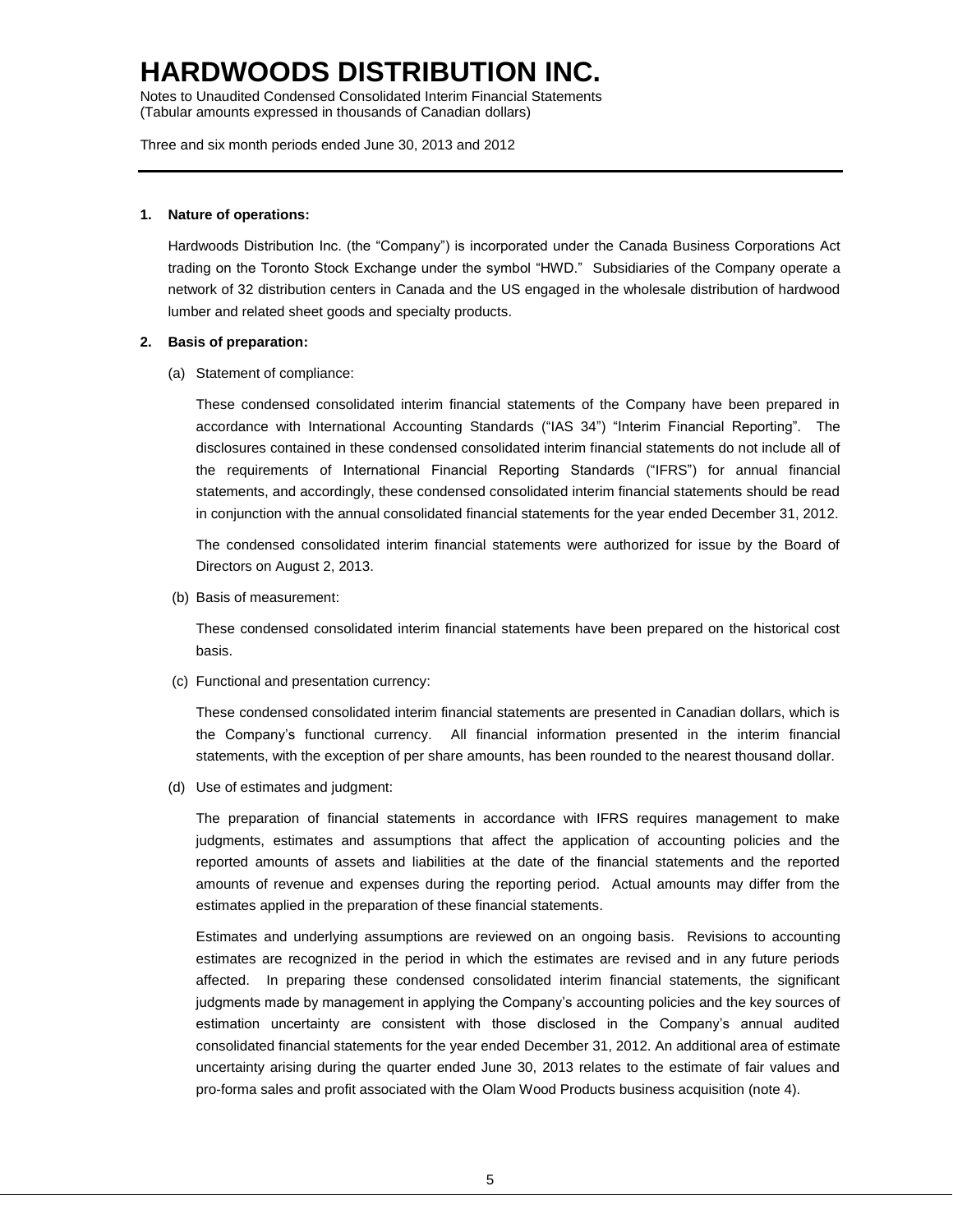Notes to Unaudited Condensed Consolidated Interim Financial Statements (Tabular amounts expressed in thousands of Canadian dollars)

Three and six month periods ended June 30, 2013 and 2012

### **1. Nature of operations:**

Hardwoods Distribution Inc. (the "Company") is incorporated under the Canada Business Corporations Act trading on the Toronto Stock Exchange under the symbol "HWD." Subsidiaries of the Company operate a network of 32 distribution centers in Canada and the US engaged in the wholesale distribution of hardwood lumber and related sheet goods and specialty products.

### **2. Basis of preparation:**

(a) Statement of compliance:

These condensed consolidated interim financial statements of the Company have been prepared in accordance with International Accounting Standards ("IAS 34") "Interim Financial Reporting". The disclosures contained in these condensed consolidated interim financial statements do not include all of the requirements of International Financial Reporting Standards ("IFRS") for annual financial statements, and accordingly, these condensed consolidated interim financial statements should be read in conjunction with the annual consolidated financial statements for the year ended December 31, 2012.

The condensed consolidated interim financial statements were authorized for issue by the Board of Directors on August 2, 2013.

(b) Basis of measurement:

These condensed consolidated interim financial statements have been prepared on the historical cost basis.

(c) Functional and presentation currency:

These condensed consolidated interim financial statements are presented in Canadian dollars, which is the Company's functional currency. All financial information presented in the interim financial statements, with the exception of per share amounts, has been rounded to the nearest thousand dollar.

(d) Use of estimates and judgment:

The preparation of financial statements in accordance with IFRS requires management to make judgments, estimates and assumptions that affect the application of accounting policies and the reported amounts of assets and liabilities at the date of the financial statements and the reported amounts of revenue and expenses during the reporting period. Actual amounts may differ from the estimates applied in the preparation of these financial statements.

Estimates and underlying assumptions are reviewed on an ongoing basis. Revisions to accounting estimates are recognized in the period in which the estimates are revised and in any future periods affected. In preparing these condensed consolidated interim financial statements, the significant judgments made by management in applying the Company's accounting policies and the key sources of estimation uncertainty are consistent with those disclosed in the Company's annual audited consolidated financial statements for the year ended December 31, 2012. An additional area of estimate uncertainty arising during the quarter ended June 30, 2013 relates to the estimate of fair values and pro-forma sales and profit associated with the Olam Wood Products business acquisition (note 4).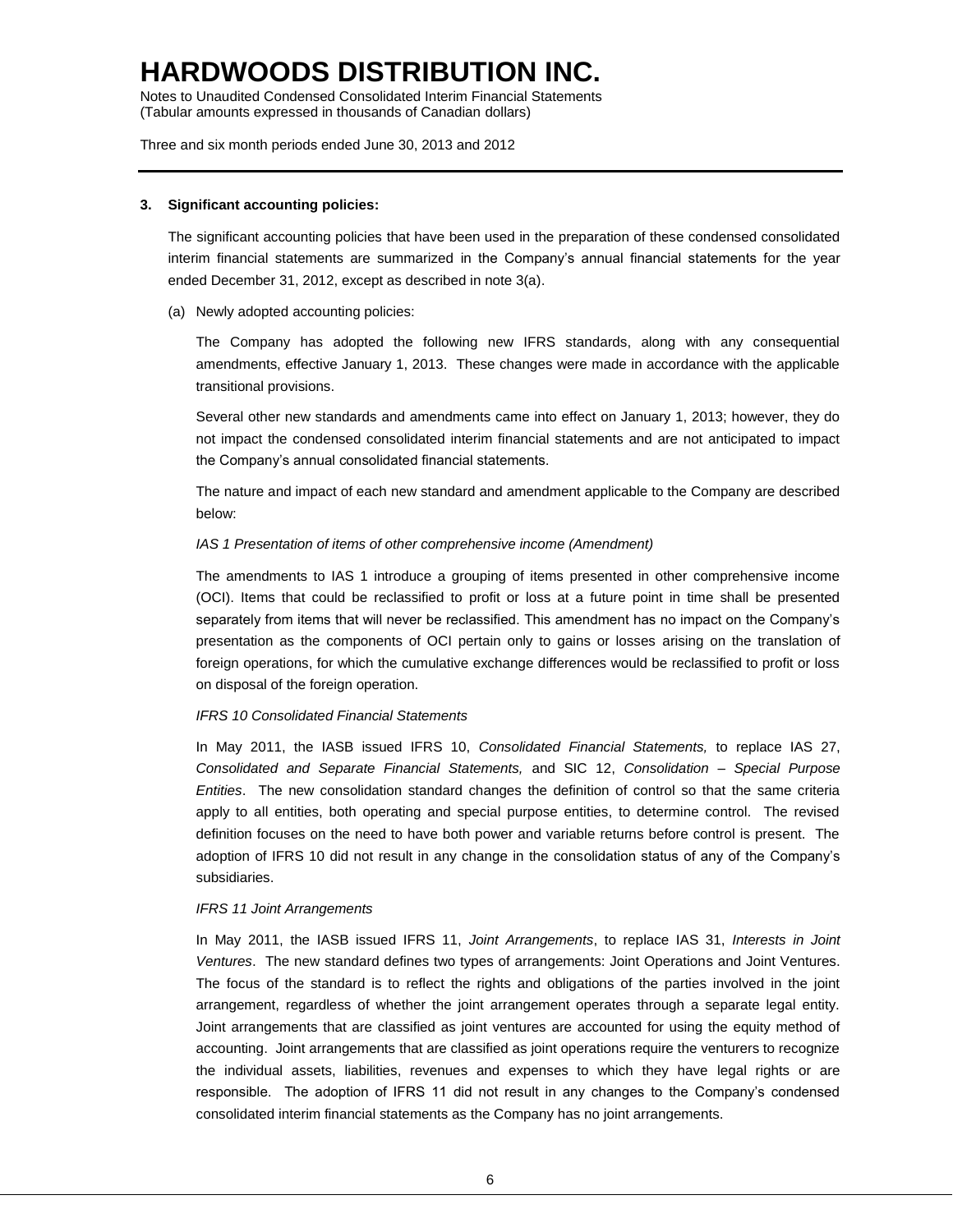Notes to Unaudited Condensed Consolidated Interim Financial Statements (Tabular amounts expressed in thousands of Canadian dollars)

Three and six month periods ended June 30, 2013 and 2012

#### **3. Significant accounting policies:**

The significant accounting policies that have been used in the preparation of these condensed consolidated interim financial statements are summarized in the Company's annual financial statements for the year ended December 31, 2012, except as described in note 3(a).

(a) Newly adopted accounting policies:

The Company has adopted the following new IFRS standards, along with any consequential amendments, effective January 1, 2013. These changes were made in accordance with the applicable transitional provisions.

Several other new standards and amendments came into effect on January 1, 2013; however, they do not impact the condensed consolidated interim financial statements and are not anticipated to impact the Company's annual consolidated financial statements.

The nature and impact of each new standard and amendment applicable to the Company are described below:

### *IAS 1 Presentation of items of other comprehensive income (Amendment)*

The amendments to IAS 1 introduce a grouping of items presented in other comprehensive income (OCI). Items that could be reclassified to profit or loss at a future point in time shall be presented separately from items that will never be reclassified. This amendment has no impact on the Company's presentation as the components of OCI pertain only to gains or losses arising on the translation of foreign operations, for which the cumulative exchange differences would be reclassified to profit or loss on disposal of the foreign operation.

### *IFRS 10 Consolidated Financial Statements*

In May 2011, the IASB issued IFRS 10, *Consolidated Financial Statements,* to replace IAS 27, *Consolidated and Separate Financial Statements,* and SIC 12, *Consolidation – Special Purpose Entities*. The new consolidation standard changes the definition of control so that the same criteria apply to all entities, both operating and special purpose entities, to determine control. The revised definition focuses on the need to have both power and variable returns before control is present. The adoption of IFRS 10 did not result in any change in the consolidation status of any of the Company's subsidiaries.

#### *IFRS 11 Joint Arrangements*

In May 2011, the IASB issued IFRS 11, *Joint Arrangements*, to replace IAS 31, *Interests in Joint Ventures*. The new standard defines two types of arrangements: Joint Operations and Joint Ventures. The focus of the standard is to reflect the rights and obligations of the parties involved in the joint arrangement, regardless of whether the joint arrangement operates through a separate legal entity. Joint arrangements that are classified as joint ventures are accounted for using the equity method of accounting. Joint arrangements that are classified as joint operations require the venturers to recognize the individual assets, liabilities, revenues and expenses to which they have legal rights or are responsible. The adoption of IFRS 11 did not result in any changes to the Company's condensed consolidated interim financial statements as the Company has no joint arrangements.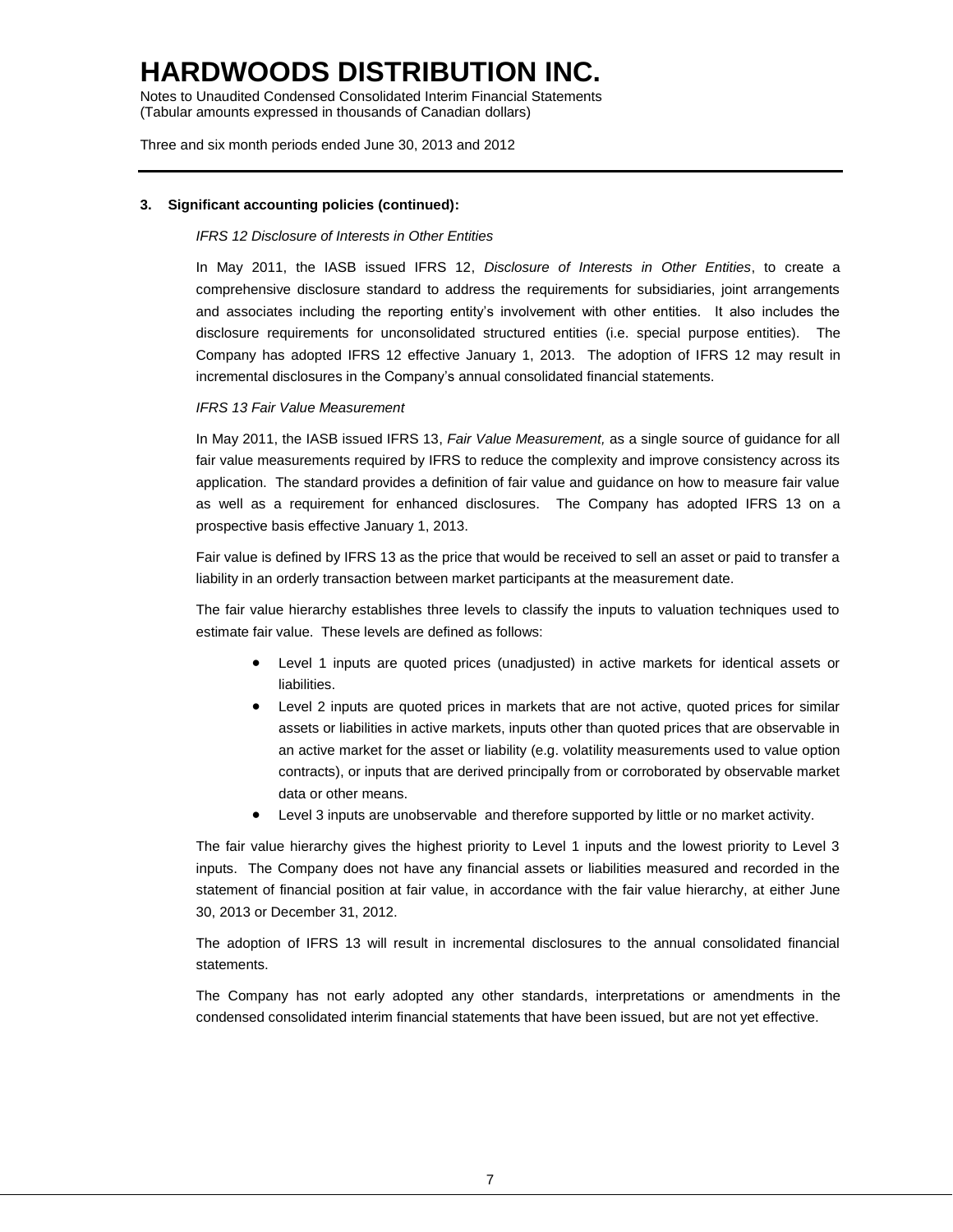Notes to Unaudited Condensed Consolidated Interim Financial Statements (Tabular amounts expressed in thousands of Canadian dollars)

Three and six month periods ended June 30, 2013 and 2012

### **3. Significant accounting policies (continued):**

### *IFRS 12 Disclosure of Interests in Other Entities*

In May 2011, the IASB issued IFRS 12, *Disclosure of Interests in Other Entities*, to create a comprehensive disclosure standard to address the requirements for subsidiaries, joint arrangements and associates including the reporting entity's involvement with other entities. It also includes the disclosure requirements for unconsolidated structured entities (i.e. special purpose entities). The Company has adopted IFRS 12 effective January 1, 2013. The adoption of IFRS 12 may result in incremental disclosures in the Company's annual consolidated financial statements.

### *IFRS 13 Fair Value Measurement*

In May 2011, the IASB issued IFRS 13, *Fair Value Measurement,* as a single source of guidance for all fair value measurements required by IFRS to reduce the complexity and improve consistency across its application. The standard provides a definition of fair value and guidance on how to measure fair value as well as a requirement for enhanced disclosures. The Company has adopted IFRS 13 on a prospective basis effective January 1, 2013.

Fair value is defined by IFRS 13 as the price that would be received to sell an asset or paid to transfer a liability in an orderly transaction between market participants at the measurement date.

The fair value hierarchy establishes three levels to classify the inputs to valuation techniques used to estimate fair value. These levels are defined as follows:

- Level 1 inputs are quoted prices (unadjusted) in active markets for identical assets or liabilities.
- Level 2 inputs are quoted prices in markets that are not active, quoted prices for similar assets or liabilities in active markets, inputs other than quoted prices that are observable in an active market for the asset or liability (e.g. volatility measurements used to value option contracts), or inputs that are derived principally from or corroborated by observable market data or other means.
- Level 3 inputs are unobservable and therefore supported by little or no market activity.

The fair value hierarchy gives the highest priority to Level 1 inputs and the lowest priority to Level 3 inputs. The Company does not have any financial assets or liabilities measured and recorded in the statement of financial position at fair value, in accordance with the fair value hierarchy, at either June 30, 2013 or December 31, 2012.

The adoption of IFRS 13 will result in incremental disclosures to the annual consolidated financial statements.

The Company has not early adopted any other standards, interpretations or amendments in the condensed consolidated interim financial statements that have been issued, but are not yet effective.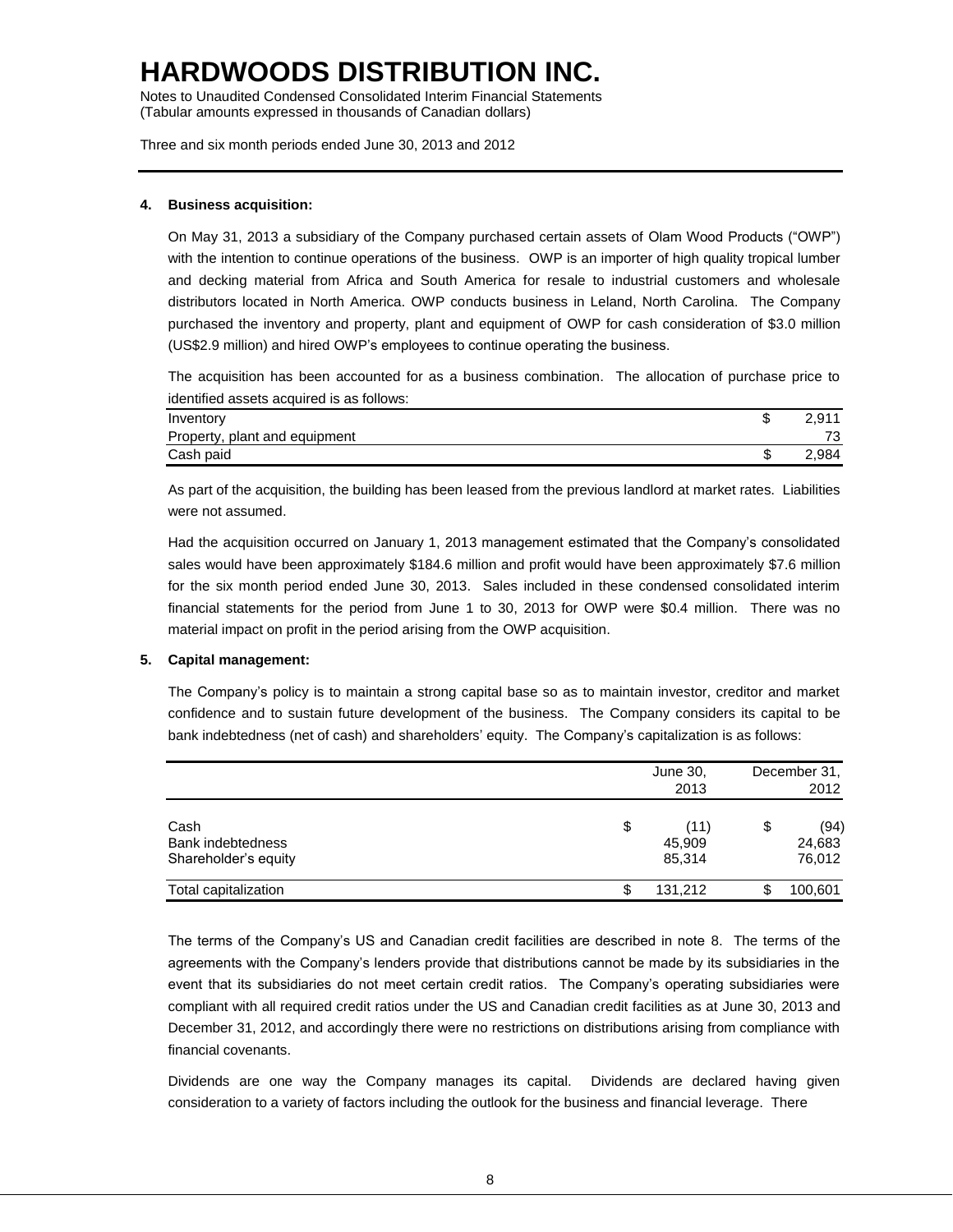Notes to Unaudited Condensed Consolidated Interim Financial Statements (Tabular amounts expressed in thousands of Canadian dollars)

Three and six month periods ended June 30, 2013 and 2012

## **4. Business acquisition:**

On May 31, 2013 a subsidiary of the Company purchased certain assets of Olam Wood Products ("OWP") with the intention to continue operations of the business. OWP is an importer of high quality tropical lumber and decking material from Africa and South America for resale to industrial customers and wholesale distributors located in North America. OWP conducts business in Leland, North Carolina. The Company purchased the inventory and property, plant and equipment of OWP for cash consideration of \$3.0 million (US\$2.9 million) and hired OWP's employees to continue operating the business.

The acquisition has been accounted for as a business combination. The allocation of purchase price to identified assets acquired is as follows:

| Inventory                     | æ<br>J | 2.911 |
|-------------------------------|--------|-------|
| Property, plant and equipment |        | 73    |
| Cash paid                     | ง      | 2,984 |

As part of the acquisition, the building has been leased from the previous landlord at market rates. Liabilities were not assumed.

Had the acquisition occurred on January 1, 2013 management estimated that the Company's consolidated sales would have been approximately \$184.6 million and profit would have been approximately \$7.6 million for the six month period ended June 30, 2013. Sales included in these condensed consolidated interim financial statements for the period from June 1 to 30, 2013 for OWP were \$0.4 million. There was no material impact on profit in the period arising from the OWP acquisition.

### **5. Capital management:**

The Company's policy is to maintain a strong capital base so as to maintain investor, creditor and market confidence and to sustain future development of the business. The Company considers its capital to be bank indebtedness (net of cash) and shareholders' equity. The Company's capitalization is as follows:

|                                                          |    | June 30,<br>2013         | December 31,<br>2012           |
|----------------------------------------------------------|----|--------------------------|--------------------------------|
| Cash<br><b>Bank indebtedness</b><br>Shareholder's equity | \$ | (11)<br>45,909<br>85.314 | \$<br>(94)<br>24,683<br>76,012 |
| Total capitalization                                     | S  | 131.212                  | \$<br>100,601                  |

The terms of the Company's US and Canadian credit facilities are described in note 8. The terms of the agreements with the Company's lenders provide that distributions cannot be made by its subsidiaries in the event that its subsidiaries do not meet certain credit ratios. The Company's operating subsidiaries were compliant with all required credit ratios under the US and Canadian credit facilities as at June 30, 2013 and December 31, 2012, and accordingly there were no restrictions on distributions arising from compliance with financial covenants.

Dividends are one way the Company manages its capital. Dividends are declared having given consideration to a variety of factors including the outlook for the business and financial leverage. There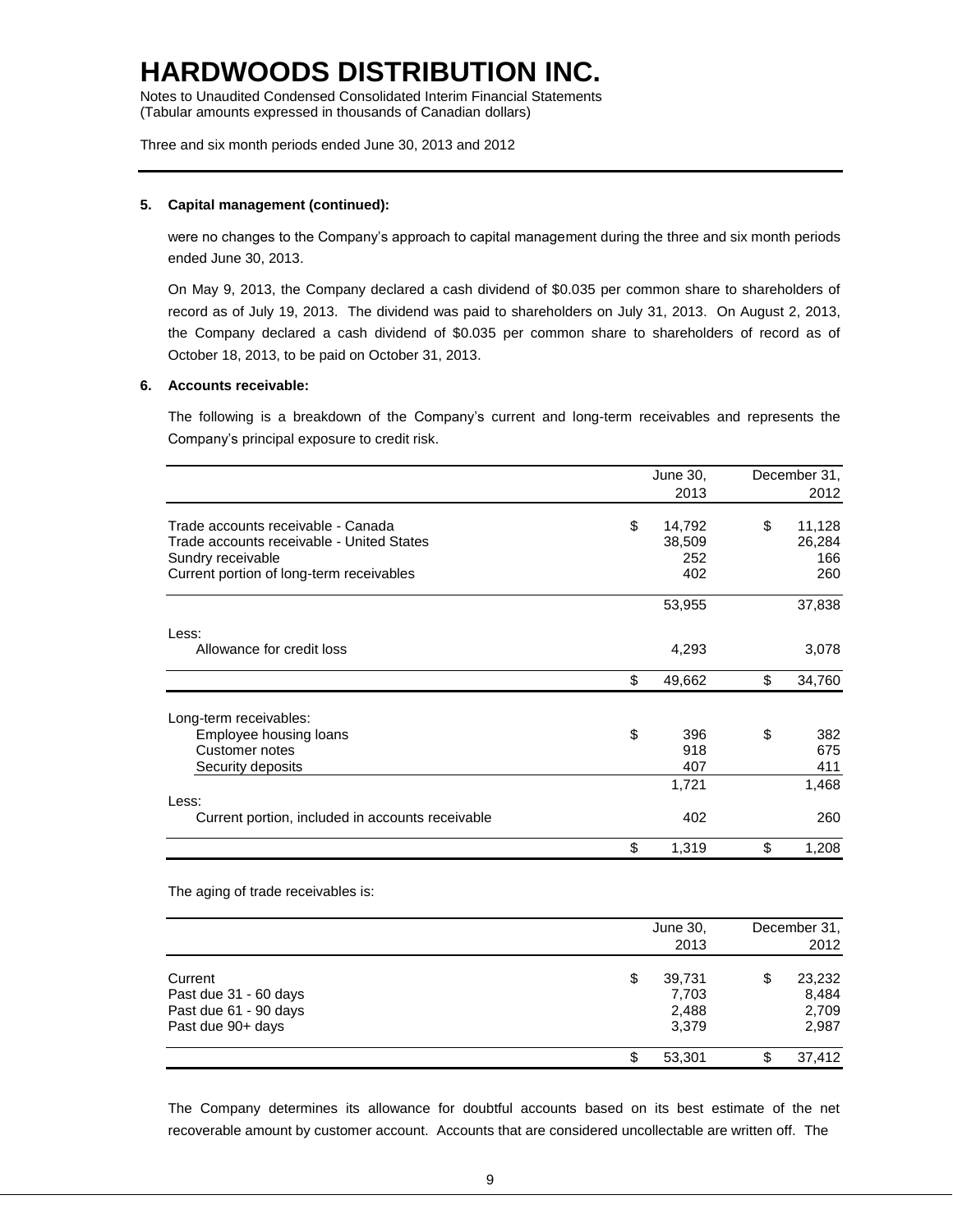Notes to Unaudited Condensed Consolidated Interim Financial Statements (Tabular amounts expressed in thousands of Canadian dollars)

Three and six month periods ended June 30, 2013 and 2012

### **5. Capital management (continued):**

were no changes to the Company's approach to capital management during the three and six month periods ended June 30, 2013.

On May 9, 2013, the Company declared a cash dividend of \$0.035 per common share to shareholders of record as of July 19, 2013. The dividend was paid to shareholders on July 31, 2013. On August 2, 2013, the Company declared a cash dividend of \$0.035 per common share to shareholders of record as of October 18, 2013, to be paid on October 31, 2013.

#### **6. Accounts receivable:**

The following is a breakdown of the Company's current and long-term receivables and represents the Company's principal exposure to credit risk.

|                                                  | June 30,     | December 31, |
|--------------------------------------------------|--------------|--------------|
|                                                  | 2013         | 2012         |
| Trade accounts receivable - Canada               | \$<br>14,792 | \$<br>11,128 |
| Trade accounts receivable - United States        | 38,509       | 26,284       |
| Sundry receivable                                | 252          | 166          |
| Current portion of long-term receivables         | 402          | 260          |
|                                                  | 53,955       | 37,838       |
| Less:                                            |              |              |
| Allowance for credit loss                        | 4,293        | 3,078        |
|                                                  | \$<br>49,662 | \$<br>34,760 |
| Long-term receivables:                           |              |              |
| Employee housing loans                           | \$<br>396    | \$<br>382    |
| Customer notes                                   | 918          | 675          |
| Security deposits                                | 407          | 411          |
|                                                  | 1,721        | 1,468        |
| Less:                                            |              |              |
| Current portion, included in accounts receivable | 402          | 260          |
|                                                  | \$<br>1,319  | \$<br>1,208  |

The aging of trade receivables is:

|                                                                                |   | June 30,<br>2013                  | December 31,<br>2012                    |
|--------------------------------------------------------------------------------|---|-----------------------------------|-----------------------------------------|
| Current<br>Past due 31 - 60 days<br>Past due 61 - 90 days<br>Past due 90+ days | S | 39,731<br>7,703<br>2,488<br>3,379 | \$<br>23,232<br>8,484<br>2,709<br>2,987 |
|                                                                                |   | 53.301                            | \$<br>37,412                            |

The Company determines its allowance for doubtful accounts based on its best estimate of the net recoverable amount by customer account. Accounts that are considered uncollectable are written off. The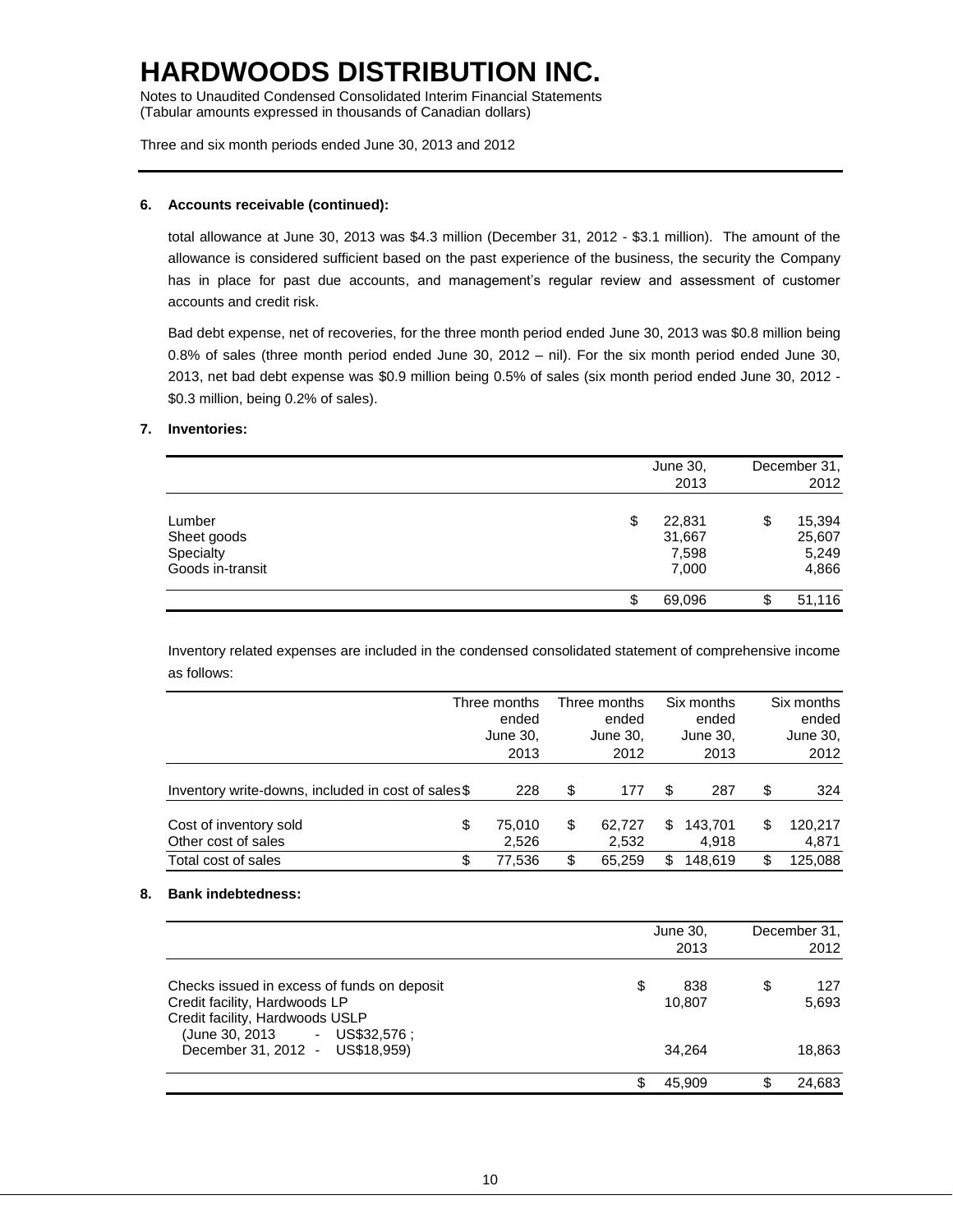Notes to Unaudited Condensed Consolidated Interim Financial Statements (Tabular amounts expressed in thousands of Canadian dollars)

Three and six month periods ended June 30, 2013 and 2012

# **6. Accounts receivable (continued):**

total allowance at June 30, 2013 was \$4.3 million (December 31, 2012 - \$3.1 million). The amount of the allowance is considered sufficient based on the past experience of the business, the security the Company has in place for past due accounts, and management's regular review and assessment of customer accounts and credit risk.

Bad debt expense, net of recoveries, for the three month period ended June 30, 2013 was \$0.8 million being 0.8% of sales (three month period ended June 30, 2012 – nil). For the six month period ended June 30, 2013, net bad debt expense was \$0.9 million being 0.5% of sales (six month period ended June 30, 2012 - \$0.3 million, being 0.2% of sales).

# **7. Inventories:**

|                                                        |    | June 30,<br>2013                   | December 31,<br>2012                     |
|--------------------------------------------------------|----|------------------------------------|------------------------------------------|
| Lumber<br>Sheet goods<br>Specialty<br>Goods in-transit | \$ | 22,831<br>31,667<br>7,598<br>7,000 | \$<br>15,394<br>25,607<br>5,249<br>4,866 |
|                                                        | ъ  | 69,096                             | \$<br>51,116                             |

Inventory related expenses are included in the condensed consolidated statement of comprehensive income as follows:

|                                                    | Three months<br>ended<br>June 30,<br>2013 | Three months<br>ended<br>June 30,<br>2012 |    | Six months<br>ended<br>June 30,<br>2013 | Six months<br>ended<br>June 30,<br>2012 |
|----------------------------------------------------|-------------------------------------------|-------------------------------------------|----|-----------------------------------------|-----------------------------------------|
| Inventory write-downs, included in cost of sales\$ | 228                                       | \$<br>177                                 | S  | 287                                     | \$<br>324                               |
| Cost of inventory sold<br>Other cost of sales      | \$<br>75.010<br>2,526                     | \$<br>62.727<br>2.532                     | S  | 143.701<br>4.918                        | \$<br>120,217<br>4,871                  |
| Total cost of sales                                | \$<br>77.536                              | \$<br>65.259                              | \$ | 148.619                                 | \$<br>125.088                           |

### **8. Bank indebtedness:**

|                                                                                                                                                                                    | June 30,<br>2013              | December 31,<br>2012         |
|------------------------------------------------------------------------------------------------------------------------------------------------------------------------------------|-------------------------------|------------------------------|
| Checks issued in excess of funds on deposit<br>Credit facility, Hardwoods LP<br>Credit facility, Hardwoods USLP<br>(June 30, 2013 - US\$32,576;<br>December 31, 2012 - US\$18,959) | \$<br>838<br>10,807<br>34.264 | \$<br>127<br>5,693<br>18,863 |
|                                                                                                                                                                                    | \$<br>45.909                  | \$<br>24,683                 |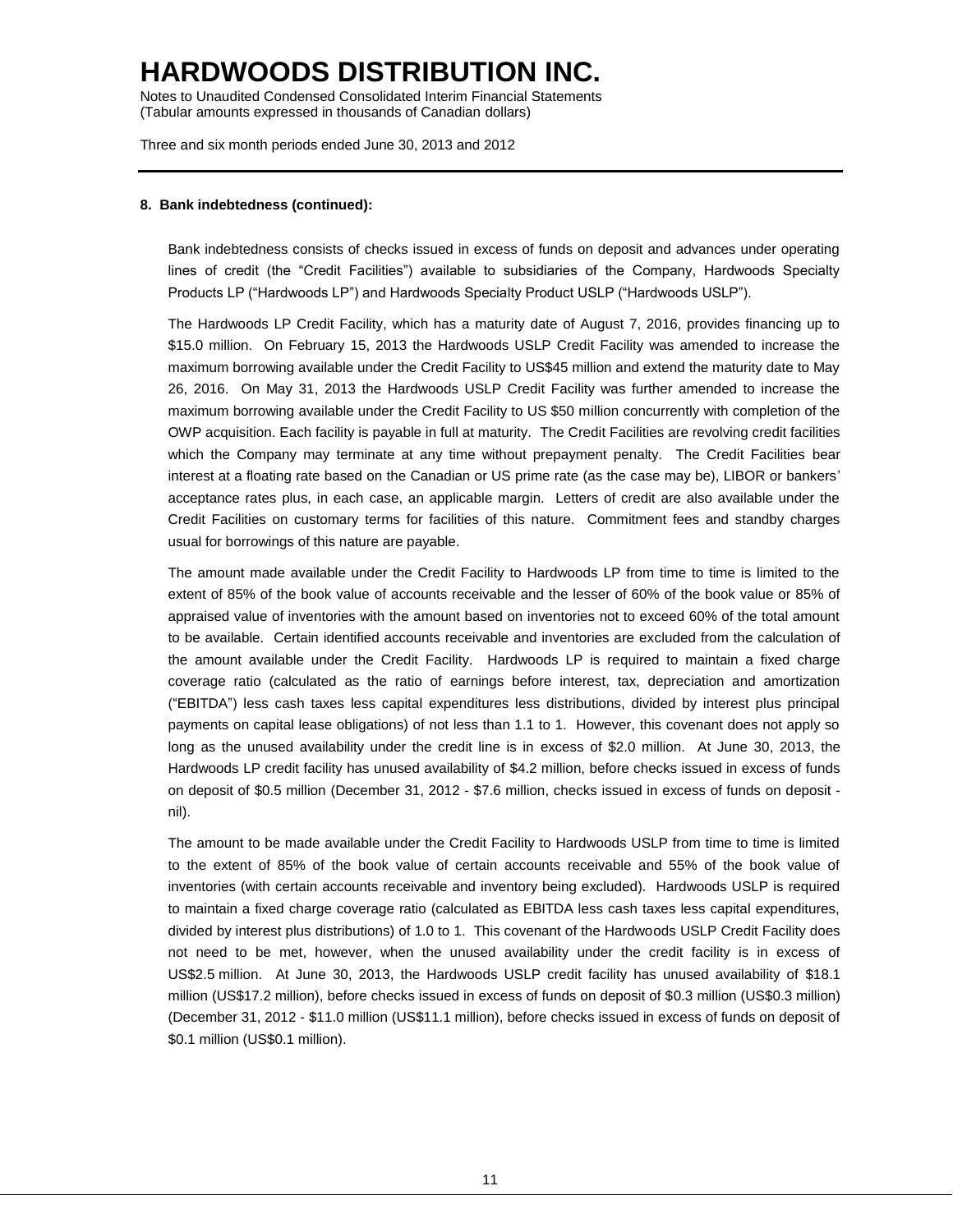Notes to Unaudited Condensed Consolidated Interim Financial Statements (Tabular amounts expressed in thousands of Canadian dollars)

Three and six month periods ended June 30, 2013 and 2012

#### **8. Bank indebtedness (continued):**

Bank indebtedness consists of checks issued in excess of funds on deposit and advances under operating lines of credit (the "Credit Facilities") available to subsidiaries of the Company, Hardwoods Specialty Products LP ("Hardwoods LP") and Hardwoods Specialty Product USLP ("Hardwoods USLP").

The Hardwoods LP Credit Facility, which has a maturity date of August 7, 2016, provides financing up to \$15.0 million. On February 15, 2013 the Hardwoods USLP Credit Facility was amended to increase the maximum borrowing available under the Credit Facility to US\$45 million and extend the maturity date to May 26, 2016. On May 31, 2013 the Hardwoods USLP Credit Facility was further amended to increase the maximum borrowing available under the Credit Facility to US \$50 million concurrently with completion of the OWP acquisition. Each facility is payable in full at maturity. The Credit Facilities are revolving credit facilities which the Company may terminate at any time without prepayment penalty. The Credit Facilities bear interest at a floating rate based on the Canadian or US prime rate (as the case may be), LIBOR or bankers' acceptance rates plus, in each case, an applicable margin. Letters of credit are also available under the Credit Facilities on customary terms for facilities of this nature. Commitment fees and standby charges usual for borrowings of this nature are payable.

The amount made available under the Credit Facility to Hardwoods LP from time to time is limited to the extent of 85% of the book value of accounts receivable and the lesser of 60% of the book value or 85% of appraised value of inventories with the amount based on inventories not to exceed 60% of the total amount to be available. Certain identified accounts receivable and inventories are excluded from the calculation of the amount available under the Credit Facility. Hardwoods LP is required to maintain a fixed charge coverage ratio (calculated as the ratio of earnings before interest, tax, depreciation and amortization ("EBITDA") less cash taxes less capital expenditures less distributions, divided by interest plus principal payments on capital lease obligations) of not less than 1.1 to 1. However, this covenant does not apply so long as the unused availability under the credit line is in excess of \$2.0 million. At June 30, 2013, the Hardwoods LP credit facility has unused availability of \$4.2 million, before checks issued in excess of funds on deposit of \$0.5 million (December 31, 2012 - \$7.6 million, checks issued in excess of funds on deposit nil).

The amount to be made available under the Credit Facility to Hardwoods USLP from time to time is limited to the extent of 85% of the book value of certain accounts receivable and 55% of the book value of inventories (with certain accounts receivable and inventory being excluded). Hardwoods USLP is required to maintain a fixed charge coverage ratio (calculated as EBITDA less cash taxes less capital expenditures, divided by interest plus distributions) of 1.0 to 1. This covenant of the Hardwoods USLP Credit Facility does not need to be met, however, when the unused availability under the credit facility is in excess of US\$2.5 million. At June 30, 2013, the Hardwoods USLP credit facility has unused availability of \$18.1 million (US\$17.2 million), before checks issued in excess of funds on deposit of \$0.3 million (US\$0.3 million) (December 31, 2012 - \$11.0 million (US\$11.1 million), before checks issued in excess of funds on deposit of \$0.1 million (US\$0.1 million).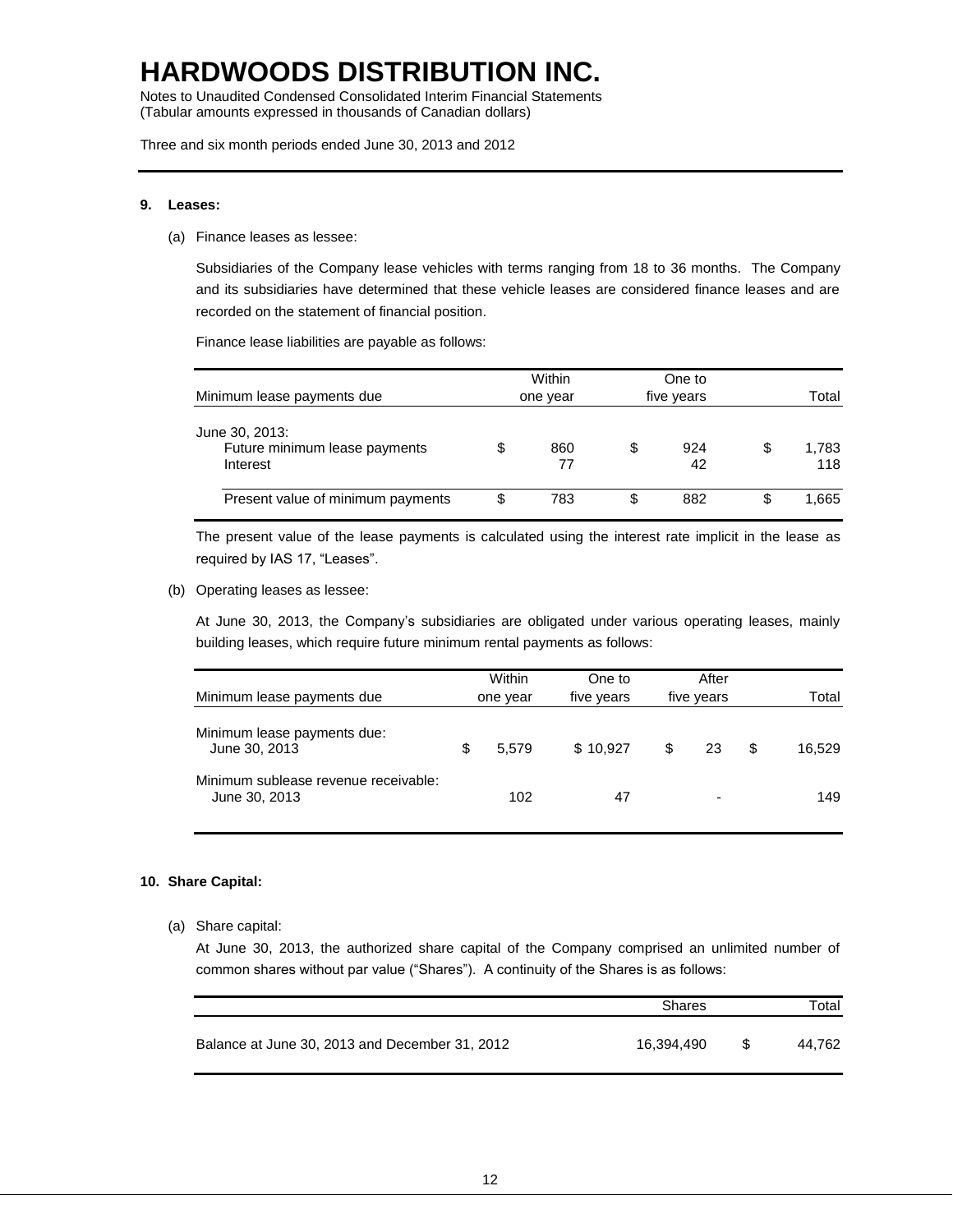Notes to Unaudited Condensed Consolidated Interim Financial Statements (Tabular amounts expressed in thousands of Canadian dollars)

Three and six month periods ended June 30, 2013 and 2012

#### **9. Leases:**

(a) Finance leases as lessee:

Subsidiaries of the Company lease vehicles with terms ranging from 18 to 36 months. The Company and its subsidiaries have determined that these vehicle leases are considered finance leases and are recorded on the statement of financial position.

Finance lease liabilities are payable as follows:

|                                                             |   | Within    | One to          |    |              |  |
|-------------------------------------------------------------|---|-----------|-----------------|----|--------------|--|
| Minimum lease payments due                                  |   | one year  | five years      |    | Total        |  |
| June 30, 2013:<br>Future minimum lease payments<br>Interest |   | 860<br>77 | \$<br>924<br>42 | \$ | 1,783<br>118 |  |
| Present value of minimum payments                           | S | 783       | \$<br>882       | S  | 1.665        |  |

The present value of the lease payments is calculated using the interest rate implicit in the lease as required by IAS 17, "Leases".

(b) Operating leases as lessee:

At June 30, 2013, the Company's subsidiaries are obligated under various operating leases, mainly building leases, which require future minimum rental payments as follows:

| Minimum lease payments due                            | Within<br>one year |       | One to<br>five years | After<br>five years |                          | Total        |
|-------------------------------------------------------|--------------------|-------|----------------------|---------------------|--------------------------|--------------|
| Minimum lease payments due:<br>June 30, 2013          |                    | 5.579 | \$10.927             | \$.                 | 23                       | \$<br>16.529 |
| Minimum sublease revenue receivable:<br>June 30, 2013 |                    | 102   | 47                   |                     | $\overline{\phantom{0}}$ | 149          |

#### **10. Share Capital:**

(a) Share capital:

At June 30, 2013, the authorized share capital of the Company comprised an unlimited number of common shares without par value ("Shares"). A continuity of the Shares is as follows:

|                                                | <b>Shares</b> |     | Total  |  |
|------------------------------------------------|---------------|-----|--------|--|
| Balance at June 30, 2013 and December 31, 2012 | 16.394.490    | \$. | 44.762 |  |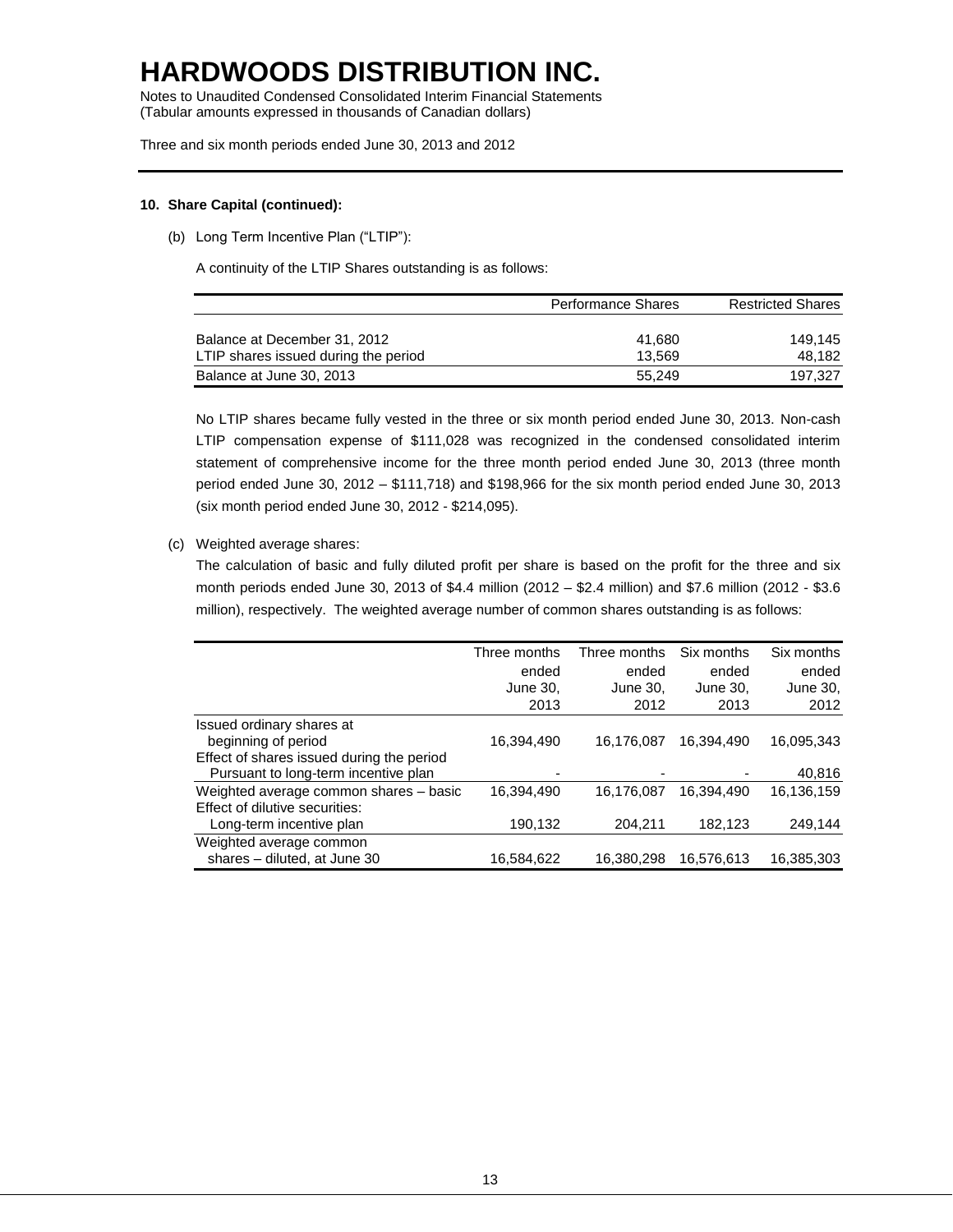Notes to Unaudited Condensed Consolidated Interim Financial Statements (Tabular amounts expressed in thousands of Canadian dollars)

Three and six month periods ended June 30, 2013 and 2012

### **10. Share Capital (continued):**

(b) Long Term Incentive Plan ("LTIP"):

A continuity of the LTIP Shares outstanding is as follows:

|                                      | <b>Performance Shares</b> | <b>Restricted Shares</b> |
|--------------------------------------|---------------------------|--------------------------|
|                                      |                           |                          |
| Balance at December 31, 2012         | 41.680                    | 149.145                  |
| LTIP shares issued during the period | 13.569                    | 48.182                   |
| Balance at June 30, 2013             | 55.249                    | 197.327                  |

No LTIP shares became fully vested in the three or six month period ended June 30, 2013. Non-cash LTIP compensation expense of \$111,028 was recognized in the condensed consolidated interim statement of comprehensive income for the three month period ended June 30, 2013 (three month period ended June 30, 2012 – \$111,718) and \$198,966 for the six month period ended June 30, 2013 (six month period ended June 30, 2012 - \$214,095).

(c) Weighted average shares:

The calculation of basic and fully diluted profit per share is based on the profit for the three and six month periods ended June 30, 2013 of \$4.4 million (2012 – \$2.4 million) and \$7.6 million (2012 - \$3.6 million), respectively. The weighted average number of common shares outstanding is as follows:

|                                           | Three months | Three months | Six months | Six months |
|-------------------------------------------|--------------|--------------|------------|------------|
|                                           | ended        | ended        | ended      | ended      |
|                                           | June 30,     | June 30.     | June 30.   | June 30,   |
|                                           | 2013         | 2012         | 2013       | 2012       |
| Issued ordinary shares at                 |              |              |            |            |
| beginning of period                       | 16,394,490   | 16,176,087   | 16,394,490 | 16,095,343 |
| Effect of shares issued during the period |              |              |            |            |
| Pursuant to long-term incentive plan      |              |              |            | 40,816     |
| Weighted average common shares - basic    | 16.394.490   | 16.176.087   | 16.394.490 | 16,136,159 |
| Effect of dilutive securities:            |              |              |            |            |
| Long-term incentive plan                  | 190,132      | 204.211      | 182,123    | 249,144    |
| Weighted average common                   |              |              |            |            |
| shares - diluted, at June 30              | 16,584,622   | 16.380.298   | 16.576.613 | 16,385,303 |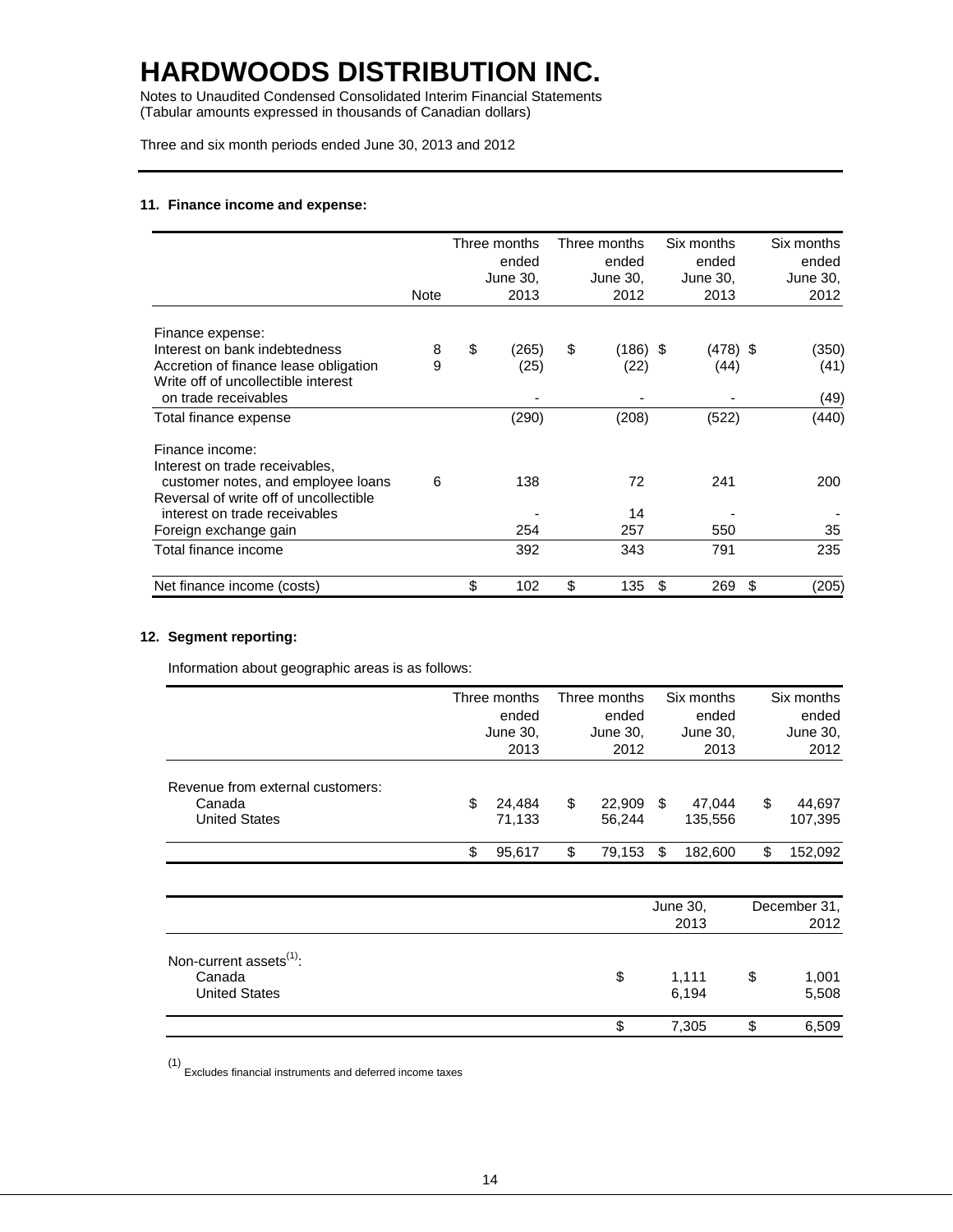Notes to Unaudited Condensed Consolidated Interim Financial Statements (Tabular amounts expressed in thousands of Canadian dollars)

Three and six month periods ended June 30, 2013 and 2012

### **11. Finance income and expense:**

|                                        |             | Three months | Three months   |   | Six months | Six months  |
|----------------------------------------|-------------|--------------|----------------|---|------------|-------------|
|                                        |             | ended        | ended          |   | ended      | ended       |
|                                        |             | June 30,     | June 30,       |   | June 30,   | June 30,    |
|                                        | <b>Note</b> | 2013         | 2012           |   | 2013       | 2012        |
| Finance expense:                       |             |              |                |   |            |             |
| Interest on bank indebtedness          | 8           | \$<br>(265)  | \$<br>(186) \$ |   | (478) \$   | (350)       |
| Accretion of finance lease obligation  | 9           | (25)         | (22)           |   | (44)       | (41)        |
| Write off of uncollectible interest    |             |              |                |   |            |             |
| on trade receivables                   |             |              |                |   |            | (49)        |
| Total finance expense                  |             | (290)        | (208)          |   | (522)      | (440)       |
| Finance income:                        |             |              |                |   |            |             |
| Interest on trade receivables,         |             |              |                |   |            |             |
| customer notes, and employee loans     | 6           | 138          | 72             |   | 241        | 200         |
| Reversal of write off of uncollectible |             |              |                |   |            |             |
| interest on trade receivables          |             |              | 14             |   |            |             |
| Foreign exchange gain                  |             | 254          | 257            |   | 550        | 35          |
| Total finance income                   |             | 392          | 343            |   | 791        | 235         |
| Net finance income (costs)             |             | \$<br>102    | \$<br>135      | S | 269        | \$<br>(205) |

## **12. Segment reporting:**

Information about geographic areas is as follows:

|                                  |       | Three months |       | Three months |       | Six months |    | Six months   |
|----------------------------------|-------|--------------|-------|--------------|-------|------------|----|--------------|
|                                  | ended |              | ended |              | ended |            |    | ended        |
|                                  |       | June 30,     |       | June 30,     |       | June 30,   |    | June 30,     |
|                                  |       | 2013         |       | 2012         |       | 2013       |    | 2012         |
| Revenue from external customers: |       |              |       |              |       |            |    |              |
| Canada                           | \$    | 24,484       | \$    | 22,909       | -SS   | 47,044     | \$ | 44,697       |
| <b>United States</b>             |       | 71,133       |       | 56,244       |       | 135,556    |    | 107,395      |
|                                  | \$    | 95,617       | \$    | 79,153       | \$    | 182,600    | \$ | 152,092      |
|                                  |       |              |       |              |       |            |    |              |
|                                  |       |              |       |              |       | June 30,   |    | December 31, |
|                                  |       |              |       |              |       | 2013       |    | 2012         |
| Non-current assets $(1)$ :       |       |              |       |              |       |            |    |              |
| Canada                           |       |              |       | \$           |       | 1,111      | \$ | 1,001        |
| <b>United States</b>             |       |              |       |              |       | 6,194      |    | 5,508        |

\$ 7,305 \$ 6,509

(1) Excludes financial instruments and deferred income taxes